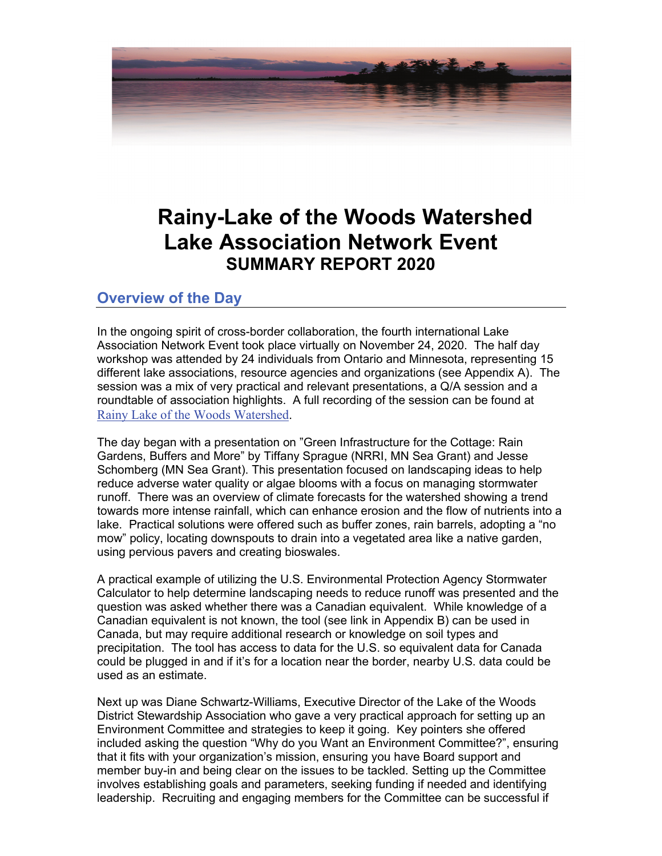

# **Rainy-Lake of the Woods Watershed Lake Association Network Event SUMMARY REPORT 2020**

## **Overview of the Day**

In the ongoing spirit of cross-border collaboration, the fourth international Lake Association Network Event took place virtually on November 24, 2020. The half day workshop was attended by 24 individuals from Ontario and Minnesota, representing 15 different lake associations, resource agencies and organizations (see Appendix A). The session was a mix of very practical and relevant presentations, a Q/A session and a roundtable of association highlights. A full recording of the session can be found at [Rainy Lake of the Woods Watershed.](http://www.rainylakeofthewoods.org/)

The day began with a presentation on "Green Infrastructure for the Cottage: Rain Gardens, Buffers and More" by Tiffany Sprague (NRRI, MN Sea Grant) and Jesse Schomberg (MN Sea Grant). This presentation focused on landscaping ideas to help reduce adverse water quality or algae blooms with a focus on managing stormwater runoff. There was an overview of climate forecasts for the watershed showing a trend towards more intense rainfall, which can enhance erosion and the flow of nutrients into a lake. Practical solutions were offered such as buffer zones, rain barrels, adopting a "no mow" policy, locating downspouts to drain into a vegetated area like a native garden, using pervious pavers and creating bioswales.

A practical example of utilizing the U.S. Environmental Protection Agency Stormwater Calculator to help determine landscaping needs to reduce runoff was presented and the question was asked whether there was a Canadian equivalent. While knowledge of a Canadian equivalent is not known, the tool (see link in Appendix B) can be used in Canada, but may require additional research or knowledge on soil types and precipitation. The tool has access to data for the U.S. so equivalent data for Canada could be plugged in and if it's for a location near the border, nearby U.S. data could be used as an estimate.

Next up was Diane Schwartz-Williams, Executive Director of the Lake of the Woods District Stewardship Association who gave a very practical approach for setting up an Environment Committee and strategies to keep it going. Key pointers she offered included asking the question "Why do you Want an Environment Committee?", ensuring that it fits with your organization's mission, ensuring you have Board support and member buy-in and being clear on the issues to be tackled. Setting up the Committee involves establishing goals and parameters, seeking funding if needed and identifying leadership. Recruiting and engaging members for the Committee can be successful if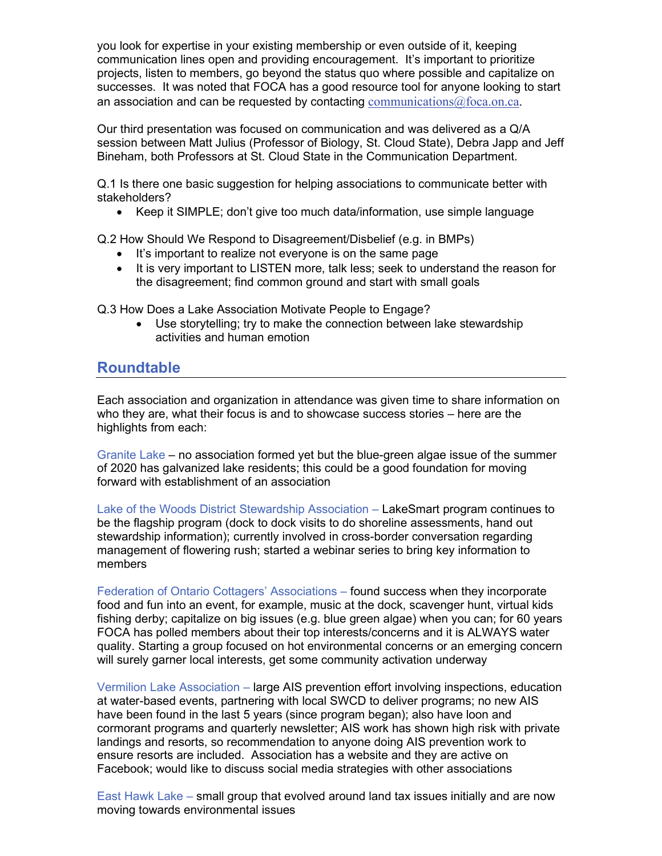you look for expertise in your existing membership or even outside of it, keeping communication lines open and providing encouragement. It's important to prioritize projects, listen to members, go beyond the status quo where possible and capitalize on successes. It was noted that FOCA has a good resource tool for anyone looking to start an association and can be requested by contacting communications  $@$  foca.on.ca.

Our third presentation was focused on communication and was delivered as a Q/A session between Matt Julius (Professor of Biology, St. Cloud State), Debra Japp and Jeff Bineham, both Professors at St. Cloud State in the Communication Department.

Q.1 Is there one basic suggestion for helping associations to communicate better with stakeholders?

• Keep it SIMPLE; don't give too much data/information, use simple language

Q.2 How Should We Respond to Disagreement/Disbelief (e.g. in BMPs)

- It's important to realize not everyone is on the same page
- It is very important to LISTEN more, talk less; seek to understand the reason for the disagreement; find common ground and start with small goals

Q.3 How Does a Lake Association Motivate People to Engage?

• Use storytelling; try to make the connection between lake stewardship activities and human emotion

## **Roundtable**

Each association and organization in attendance was given time to share information on who they are, what their focus is and to showcase success stories – here are the highlights from each:

Granite Lake – no association formed yet but the blue-green algae issue of the summer of 2020 has galvanized lake residents; this could be a good foundation for moving forward with establishment of an association

Lake of the Woods District Stewardship Association – LakeSmart program continues to be the flagship program (dock to dock visits to do shoreline assessments, hand out stewardship information); currently involved in cross-border conversation regarding management of flowering rush; started a webinar series to bring key information to members

Federation of Ontario Cottagers' Associations – found success when they incorporate food and fun into an event, for example, music at the dock, scavenger hunt, virtual kids fishing derby; capitalize on big issues (e.g. blue green algae) when you can; for 60 years FOCA has polled members about their top interests/concerns and it is ALWAYS water quality. Starting a group focused on hot environmental concerns or an emerging concern will surely garner local interests, get some community activation underway

Vermilion Lake Association – large AIS prevention effort involving inspections, education at water-based events, partnering with local SWCD to deliver programs; no new AIS have been found in the last 5 years (since program began); also have loon and cormorant programs and quarterly newsletter; AIS work has shown high risk with private landings and resorts, so recommendation to anyone doing AIS prevention work to ensure resorts are included. Association has a website and they are active on Facebook; would like to discuss social media strategies with other associations

East Hawk Lake – small group that evolved around land tax issues initially and are now moving towards environmental issues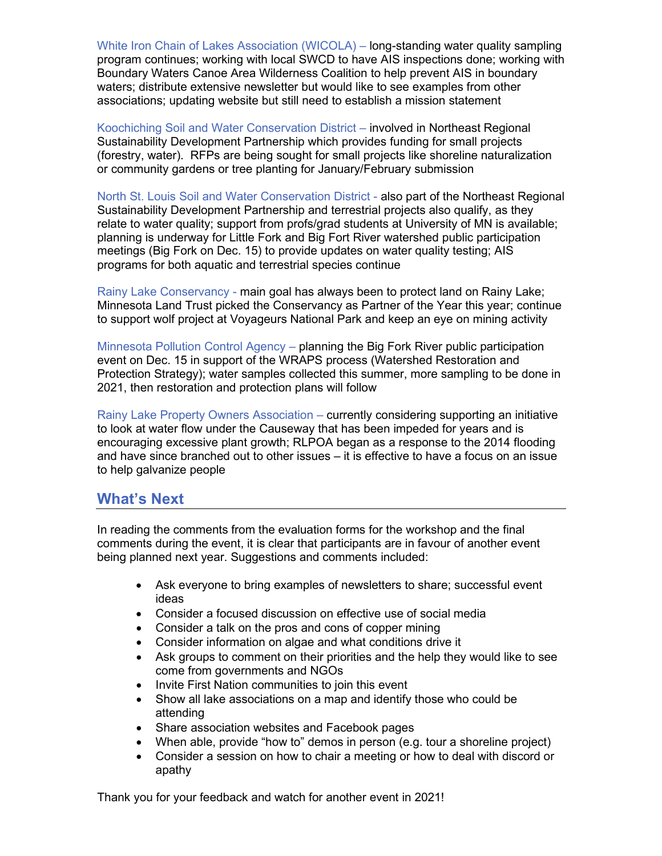White Iron Chain of Lakes Association (WICOLA) – long-standing water quality sampling program continues; working with local SWCD to have AIS inspections done; working with Boundary Waters Canoe Area Wilderness Coalition to help prevent AIS in boundary waters; distribute extensive newsletter but would like to see examples from other associations; updating website but still need to establish a mission statement

Koochiching Soil and Water Conservation District – involved in Northeast Regional Sustainability Development Partnership which provides funding for small projects (forestry, water). RFPs are being sought for small projects like shoreline naturalization or community gardens or tree planting for January/February submission

North St. Louis Soil and Water Conservation District - also part of the Northeast Regional Sustainability Development Partnership and terrestrial projects also qualify, as they relate to water quality; support from profs/grad students at University of MN is available; planning is underway for Little Fork and Big Fort River watershed public participation meetings (Big Fork on Dec. 15) to provide updates on water quality testing; AIS programs for both aquatic and terrestrial species continue

Rainy Lake Conservancy - main goal has always been to protect land on Rainy Lake; Minnesota Land Trust picked the Conservancy as Partner of the Year this year; continue to support wolf project at Voyageurs National Park and keep an eye on mining activity

Minnesota Pollution Control Agency – planning the Big Fork River public participation event on Dec. 15 in support of the WRAPS process (Watershed Restoration and Protection Strategy); water samples collected this summer, more sampling to be done in 2021, then restoration and protection plans will follow

Rainy Lake Property Owners Association – currently considering supporting an initiative to look at water flow under the Causeway that has been impeded for years and is encouraging excessive plant growth; RLPOA began as a response to the 2014 flooding and have since branched out to other issues – it is effective to have a focus on an issue to help galvanize people

### **What's Next**

In reading the comments from the evaluation forms for the workshop and the final comments during the event, it is clear that participants are in favour of another event being planned next year. Suggestions and comments included:

- Ask everyone to bring examples of newsletters to share; successful event ideas
- Consider a focused discussion on effective use of social media
- Consider a talk on the pros and cons of copper mining
- Consider information on algae and what conditions drive it
- Ask groups to comment on their priorities and the help they would like to see come from governments and NGOs
- Invite First Nation communities to join this event
- Show all lake associations on a map and identify those who could be attending
- Share association websites and Facebook pages
- When able, provide "how to" demos in person (e.g. tour a shoreline project)
- Consider a session on how to chair a meeting or how to deal with discord or apathy

Thank you for your feedback and watch for another event in 2021!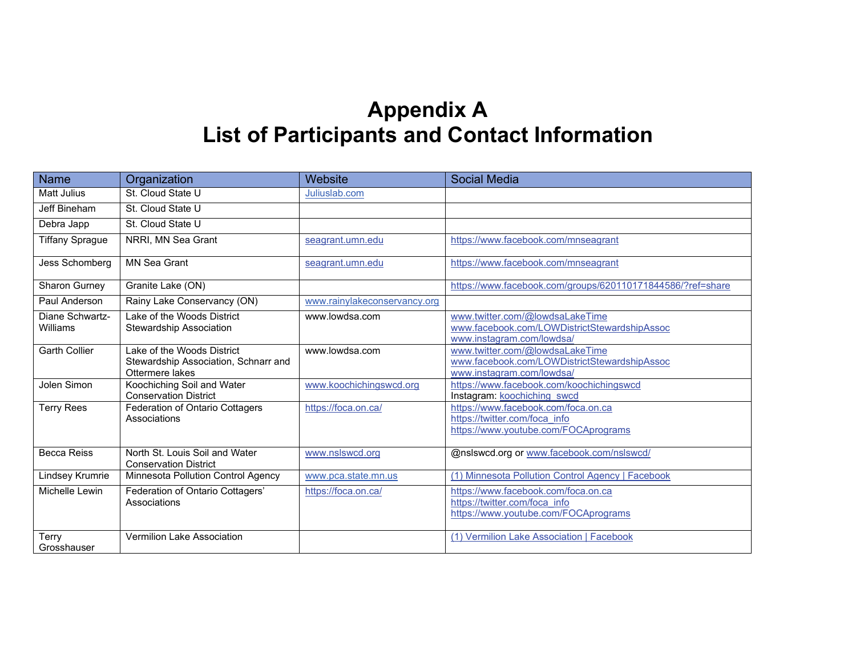# **Appendix A List of Participants and Contact Information**

| <b>Name</b>                 | Organization                                                                          | Website                      | <b>Social Media</b>                                                                                          |
|-----------------------------|---------------------------------------------------------------------------------------|------------------------------|--------------------------------------------------------------------------------------------------------------|
| <b>Matt Julius</b>          | St. Cloud State U                                                                     | Juliuslab.com                |                                                                                                              |
| Jeff Bineham                | St. Cloud State U                                                                     |                              |                                                                                                              |
| Debra Japp                  | St. Cloud State U                                                                     |                              |                                                                                                              |
| <b>Tiffany Sprague</b>      | NRRI. MN Sea Grant                                                                    | seagrant.umn.edu             | https://www.facebook.com/mnseagrant                                                                          |
| Jess Schomberg              | <b>MN Sea Grant</b>                                                                   | seagrant.umn.edu             | https://www.facebook.com/mnseagrant                                                                          |
| Sharon Gurney               | Granite Lake (ON)                                                                     |                              | https://www.facebook.com/groups/620110171844586/?ref=share                                                   |
| Paul Anderson               | Rainy Lake Conservancy (ON)                                                           | www.rainylakeconservancy.org |                                                                                                              |
| Diane Schwartz-<br>Williams | Lake of the Woods District<br><b>Stewardship Association</b>                          | www.lowdsa.com               | www.twitter.com/@lowdsaLakeTime<br>www.facebook.com/LOWDistrictStewardshipAssoc<br>www.instagram.com/lowdsa/ |
| <b>Garth Collier</b>        | Lake of the Woods District<br>Stewardship Association, Schnarr and<br>Ottermere lakes | www.lowdsa.com               | www.twitter.com/@lowdsaLakeTime<br>www.facebook.com/LOWDistrictStewardshipAssoc<br>www.instagram.com/lowdsa/ |
| Jolen Simon                 | Koochiching Soil and Water<br><b>Conservation District</b>                            | www.koochichingswcd.org      | https://www.facebook.com/koochichingswcd<br>Instagram: koochiching swcd                                      |
| <b>Terry Rees</b>           | Federation of Ontario Cottagers<br>Associations                                       | https://foca.on.ca/          | https://www.facebook.com/foca.on.ca<br>https://twitter.com/foca_info<br>https://www.youtube.com/FOCAprograms |
| <b>Becca Reiss</b>          | North St. Louis Soil and Water<br><b>Conservation District</b>                        | www.nslswcd.org              | @nslswcd.org or www.facebook.com/nslswcd/                                                                    |
| Lindsey Krumrie             | Minnesota Pollution Control Agency                                                    | www.pca.state.mn.us          | (1) Minnesota Pollution Control Agency   Facebook                                                            |
| Michelle Lewin              | Federation of Ontario Cottagers'<br>Associations                                      | https://foca.on.ca/          | https://www.facebook.com/foca.on.ca<br>https://twitter.com/foca_info<br>https://www.youtube.com/FOCAprograms |
| Terry<br>Grosshauser        | <b>Vermilion Lake Association</b>                                                     |                              | (1) Vermilion Lake Association   Facebook                                                                    |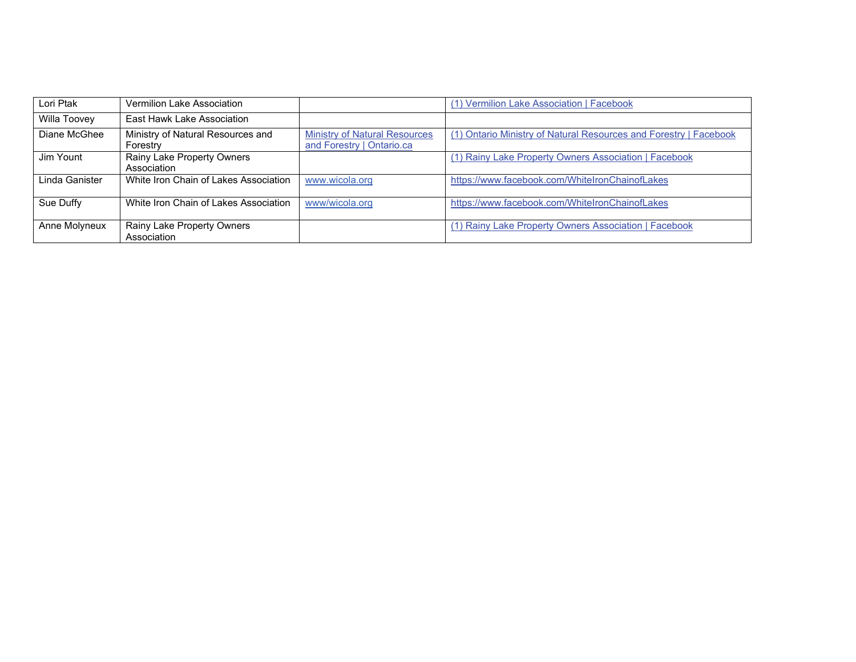| Lori Ptak      | Vermilion Lake Association                    |                                                                   | (1) Vermilion Lake Association   Facebook                         |
|----------------|-----------------------------------------------|-------------------------------------------------------------------|-------------------------------------------------------------------|
| Willa Toovey   | East Hawk Lake Association                    |                                                                   |                                                                   |
| Diane McGhee   | Ministry of Natural Resources and<br>Forestry | <b>Ministry of Natural Resources</b><br>and Forestry   Ontario.ca | (1) Ontario Ministry of Natural Resources and Forestry   Facebook |
| Jim Yount      | Rainy Lake Property Owners<br>Association     |                                                                   | (1) Rainy Lake Property Owners Association   Facebook             |
| Linda Ganister | White Iron Chain of Lakes Association         | www.wicola.org                                                    | https://www.facebook.com/WhiteIronChainofLakes                    |
| Sue Duffy      | White Iron Chain of Lakes Association         | www/wicola.org                                                    | https://www.facebook.com/WhiteIronChainofLakes                    |
| Anne Molyneux  | Rainy Lake Property Owners<br>Association     |                                                                   | (1) Rainy Lake Property Owners Association   Facebook             |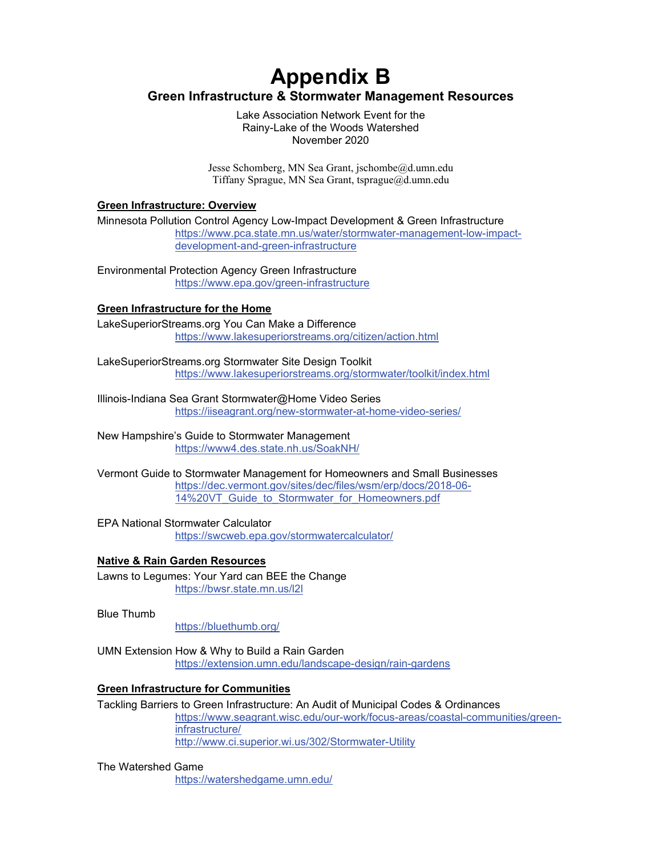# **Appendix B Green Infrastructure & Stormwater Management Resources**

Lake Association Network Event for the Rainy-Lake of the Woods Watershed November 2020

Jesse Schomberg, MN Sea Grant, jschombe@d.umn.edu Tiffany Sprague, MN Sea Grant, tsprague@d.umn.edu

#### **Green Infrastructure: Overview**

Minnesota Pollution Control Agency Low-Impact Development & Green Infrastructure [https://www.pca.state.mn.us/water/stormwater-management-low-impact](https://www.pca.state.mn.us/water/stormwater-management-low-impact-development-and-green-infrastructure)[development-and-green-infrastructure](https://www.pca.state.mn.us/water/stormwater-management-low-impact-development-and-green-infrastructure)

Environmental Protection Agency Green Infrastructure <https://www.epa.gov/green-infrastructure>

#### **Green Infrastructure for the Home**

LakeSuperiorStreams.org You Can Make a Difference <https://www.lakesuperiorstreams.org/citizen/action.html>

LakeSuperiorStreams.org Stormwater Site Design Toolkit <https://www.lakesuperiorstreams.org/stormwater/toolkit/index.html>

Illinois-Indiana Sea Grant Stormwater@Home Video Series <https://iiseagrant.org/new-stormwater-at-home-video-series/>

New Hampshire's Guide to Stormwater Management <https://www4.des.state.nh.us/SoakNH/>

Vermont Guide to Stormwater Management for Homeowners and Small Businesses [https://dec.vermont.gov/sites/dec/files/wsm/erp/docs/2018-06-](https://dec.vermont.gov/sites/dec/files/wsm/erp/docs/2018-06-14%20VT_Guide_to_Stormwater_for_Homeowners.pdf) 14%20VT Guide to Stormwater for Homeowners.pdf

EPA National Stormwater Calculator <https://swcweb.epa.gov/stormwatercalculator/>

#### **Native & Rain Garden Resources**

Lawns to Legumes: Your Yard can BEE the Change <https://bwsr.state.mn.us/l2l>

Blue Thumb

<https://bluethumb.org/>

UMN Extension How & Why to Build a Rain Garden <https://extension.umn.edu/landscape-design/rain-gardens>

#### **Green Infrastructure for Communities**

Tackling Barriers to Green Infrastructure: An Audit of Municipal Codes & Ordinances [https://www.seagrant.wisc.edu/our-work/focus-areas/coastal-communities/green](https://www.seagrant.wisc.edu/our-work/focus-areas/coastal-communities/green-infrastructure/)[infrastructure/](https://www.seagrant.wisc.edu/our-work/focus-areas/coastal-communities/green-infrastructure/) <http://www.ci.superior.wi.us/302/Stormwater-Utility>

The Watershed Game

<https://watershedgame.umn.edu/>